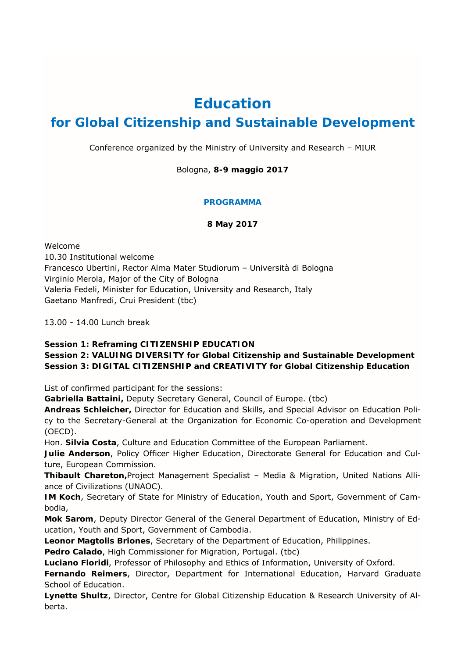# **Education**

# **for Global Citizenship and Sustainable Development**

Conference organized by the Ministry of University and Research – MIUR

Bologna, **8-9 maggio 2017**

## **PROGRAMMA**

**8 May 2017** 

Welcome 10.30 Institutional welcome Francesco Ubertini, Rector Alma Mater Studiorum – Università di Bologna Virginio Merola, Major of the City of Bologna Valeria Fedeli, Minister for Education, University and Research, Italy Gaetano Manfredi, Crui President (tbc)

13.00 - 14.00 Lunch break

## **Session 1: Reframing CITIZENSHIP EDUCATION**

## **Session 2: VALUING DIVERSITY for Global Citizenship and Sustainable Development Session 3: DIGITAL CITIZENSHIP and CREATIVITY for Global Citizenship Education**

List of confirmed participant for the sessions:

**Gabriella Battaini,** Deputy Secretary General, Council of Europe. (tbc)

**Andreas Schleicher,** Director for Education and Skills, and Special Advisor on Education Policy to the Secretary-General at the Organization for Economic Co-operation and Development (OECD).

Hon. **Silvia Costa**, Culture and Education Committee of the European Parliament.

**Julie Anderson**, Policy Officer Higher Education, Directorate General for Education and Culture, European Commission.

**Thibault Chareton,**Project Management Specialist – Media & Migration, United Nations Alliance of Civilizations (UNAOC).

**IM Koch**, Secretary of State for Ministry of Education, Youth and Sport, Government of Cambodia,

**Mok Sarom**, Deputy Director General of the General Department of Education, Ministry of Education, Youth and Sport, Government of Cambodia.

**Leonor Magtolis Briones**, Secretary of the Department of Education, Philippines.

**Pedro Calado**, High Commissioner for Migration, Portugal. (tbc)

**Luciano Floridi**, Professor of Philosophy and Ethics of Information, University of Oxford.

**Fernando Reimers**, Director, Department for International Education, Harvard Graduate School of Education.

**Lynette Shultz**, Director, Centre for Global Citizenship Education & Research University of Alberta.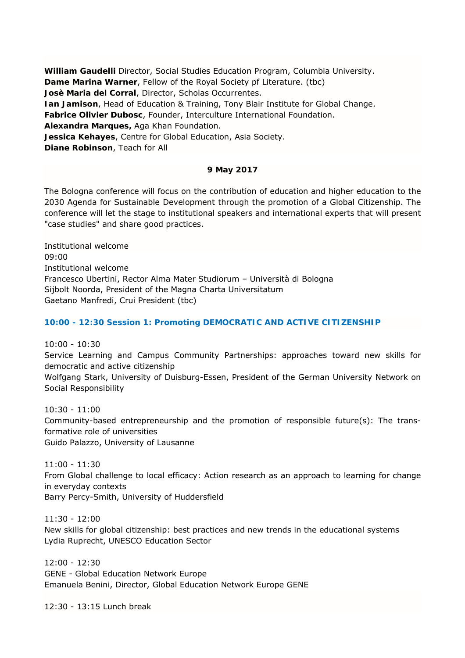**William Gaudelli** Director, Social Studies Education Program, Columbia University. **Dame Marina Warner**, Fellow of the Royal Society pf Literature. (tbc) **Josè Maria del Corral**, Director, Scholas Occurrentes. **Ian Jamison**, Head of Education & Training, Tony Blair Institute for Global Change. **Fabrice Olivier Dubosc**, Founder, Interculture International Foundation. **Alexandra Marques,** Aga Khan Foundation. **Jessica Kehayes**, Centre for Global Education, Asia Society. **Diane Robinson**, Teach for All

## **9 May 2017**

The Bologna conference will focus on the contribution of education and higher education to the 2030 Agenda for Sustainable Development through the promotion of a Global Citizenship. The conference will let the stage to institutional speakers and international experts that will present "case studies" and share good practices.

Institutional welcome 09:00 Institutional welcome Francesco Ubertini, Rector Alma Mater Studiorum – Università di Bologna Sijbolt Noorda, President of the Magna Charta Universitatum Gaetano Manfredi, Crui President (tbc)

## **10:00 - 12:30 Session 1: Promoting DEMOCRATIC AND ACTIVE CITIZENSHIP**

10:00 - 10:30

Service Learning and Campus Community Partnerships: approaches toward new skills for democratic and active citizenship

Wolfgang Stark, University of Duisburg-Essen, President of the German University Network on Social Responsibility

10:30 - 11:00 Community-based entrepreneurship and the promotion of responsible future(s): The transformative role of universities Guido Palazzo, University of Lausanne

11:00 - 11:30 From Global challenge to local efficacy: Action research as an approach to learning for change in everyday contexts Barry Percy-Smith, University of Huddersfield

11:30 - 12:00 New skills for global citizenship: best practices and new trends in the educational systems Lydia Ruprecht, UNESCO Education Sector

12:00 - 12:30 GENE - Global Education Network Europe Emanuela Benini, Director, Global Education Network Europe GENE

12:30 - 13:15 Lunch break